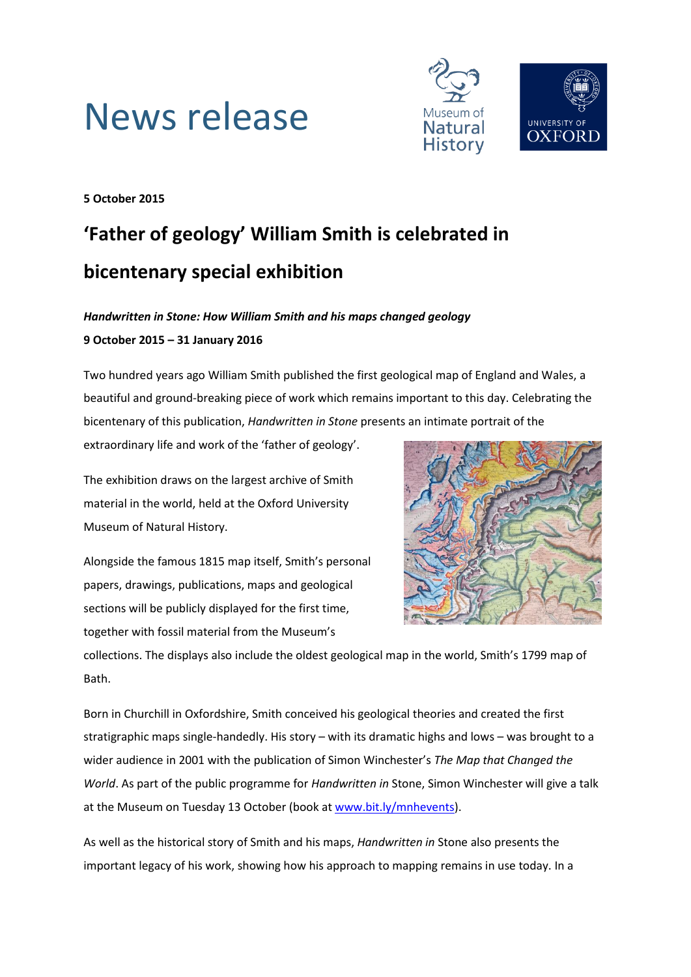



**5 October 2015**

## **'Father of geology' William Smith is celebrated in bicentenary special exhibition**

### *Handwritten in Stone: How William Smith and his maps changed geology* **9 October 2015 – 31 January 2016**

Two hundred years ago William Smith published the first geological map of England and Wales, a beautiful and ground-breaking piece of work which remains important to this day. Celebrating the bicentenary of this publication, *Handwritten in Stone* presents an intimate portrait of the

extraordinary life and work of the 'father of geology'.

The exhibition draws on the largest archive of Smith material in the world, held at the Oxford University Museum of Natural History.

Alongside the famous 1815 map itself, Smith's personal papers, drawings, publications, maps and geological sections will be publicly displayed for the first time, together with fossil material from the Museum's



collections. The displays also include the oldest geological map in the world, Smith's 1799 map of Bath.

Born in Churchill in Oxfordshire, Smith conceived his geological theories and created the first stratigraphic maps single-handedly. His story – with its dramatic highs and lows – was brought to a wider audience in 2001 with the publication of Simon Winchester's *The Map that Changed the World*. As part of the public programme for *Handwritten in* Stone, Simon Winchester will give a talk at the Museum on Tuesday 13 October (book a[t www.bit.ly/mnhevents\)](http://www.bit.ly/mnhevents).

As well as the historical story of Smith and his maps, *Handwritten in* Stone also presents the important legacy of his work, showing how his approach to mapping remains in use today. In a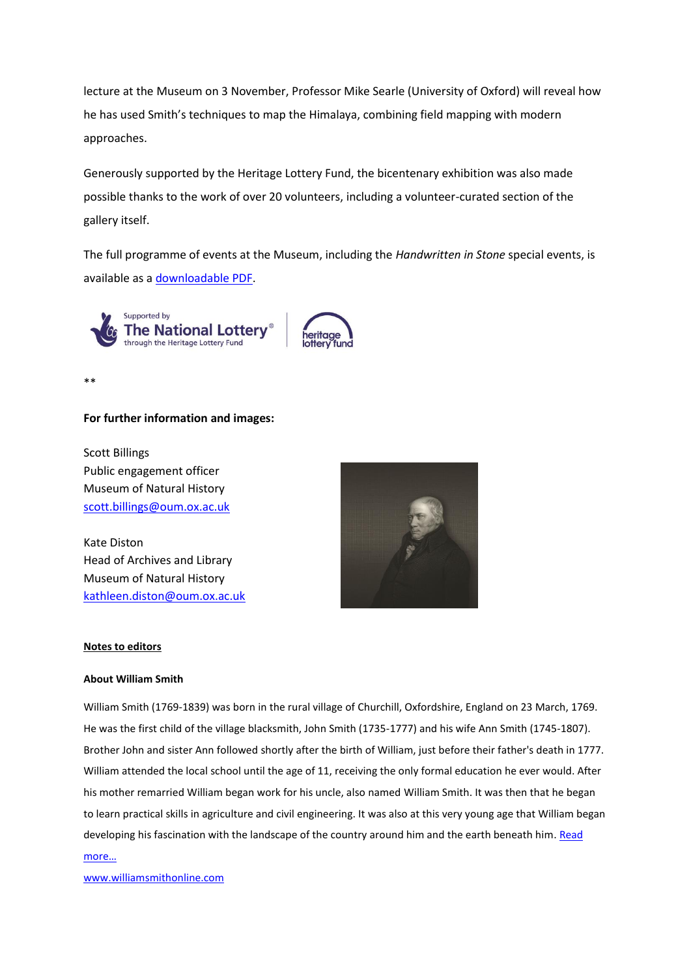lecture at the Museum on 3 November, Professor Mike Searle (University of Oxford) will reveal how he has used Smith's techniques to map the Himalaya, combining field mapping with modern approaches.

Generously supported by the Heritage Lottery Fund, the bicentenary exhibition was also made possible thanks to the work of over 20 volunteers, including a volunteer-curated section of the gallery itself.

The full programme of events at the Museum, including the *Handwritten in Stone* special events, is available as a [downloadable PDF.](http://www.oum.ox.ac.uk/visiting/OUM%202015.pdf)





\*\*

#### **For further information and images:**

Scott Billings Public engagement officer Museum of Natural History [scott.billings@oum.ox.ac.uk](mailto:scott.billings@oum.ox.ac.uk)

Kate Diston Head of Archives and Library Museum of Natural History [kathleen.diston@oum.ox.ac.uk](mailto:kathleen.diston@oum.ox.ac.uk)



#### **Notes to editors**

#### **About William Smith**

William Smith (1769-1839) was born in the rural village of Churchill, Oxfordshire, England on 23 March, 1769. He was the first child of the village blacksmith, John Smith (1735-1777) and his wife Ann Smith (1745-1807). Brother John and sister Ann followed shortly after the birth of William, just before their father's death in 1777. William attended the local school until the age of 11, receiving the only formal education he ever would. After his mother remarried William began work for his uncle, also named William Smith. It was then that he began to learn practical skills in agriculture and civil engineering. It was also at this very young age that William began developing his fascination with the landscape of the country around him and the earth beneath him. [Read](http://www.williamsmithonline.com/who/biography.html) 

#### [more…](http://www.williamsmithonline.com/who/biography.html)

[www.williamsmithonline.com](http://www.williamsmithonline.com/)